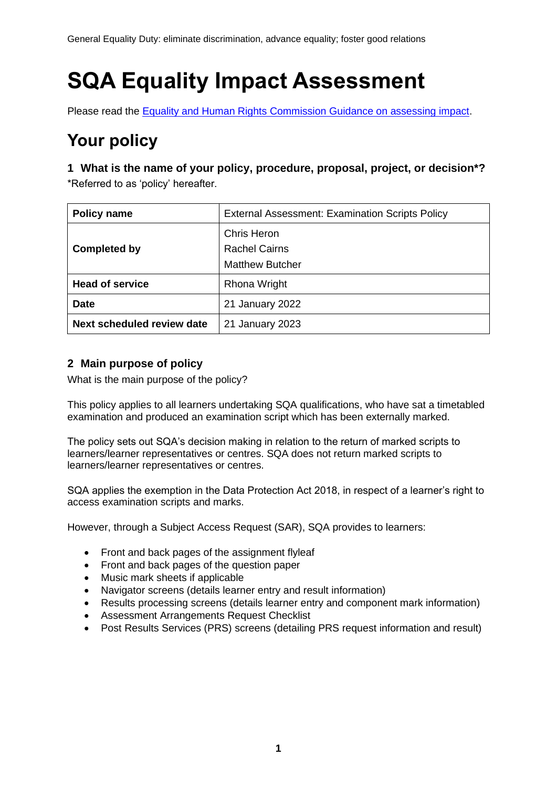General Equality Duty: eliminate discrimination, advance equality; foster good relations

# **SQA Equality Impact Assessment**

Please read the [Equality and Human Rights Commission Guidance on assessing impact.](https://www.equalityhumanrights.com/sites/default/files/assessing-impact-public-sectory-equality-duty-scotland.pdf)

# **Your policy**

**1 What is the name of your policy, procedure, proposal, project, or decision\*?** \*Referred to as 'policy' hereafter.

| <b>Policy name</b>         | <b>External Assessment: Examination Scripts Policy</b>               |  |  |
|----------------------------|----------------------------------------------------------------------|--|--|
| <b>Completed by</b>        | <b>Chris Heron</b><br><b>Rachel Cairns</b><br><b>Matthew Butcher</b> |  |  |
| <b>Head of service</b>     | <b>Rhona Wright</b>                                                  |  |  |
| <b>Date</b>                | 21 January 2022                                                      |  |  |
| Next scheduled review date | 21 January 2023                                                      |  |  |

#### **2 Main purpose of policy**

What is the main purpose of the policy?

This policy applies to all learners undertaking SQA qualifications, who have sat a timetabled examination and produced an examination script which has been externally marked.

The policy sets out SQA's decision making in relation to the return of marked scripts to learners/learner representatives or centres. SQA does not return marked scripts to learners/learner representatives or centres.

SQA applies the exemption in the Data Protection Act 2018, in respect of a learner's right to access examination scripts and marks.

However, through a Subject Access Request (SAR), SQA provides to learners:

- Front and back pages of the assignment flyleaf
- Front and back pages of the question paper
- Music mark sheets if applicable
- Navigator screens (details learner entry and result information)
- Results processing screens (details learner entry and component mark information)
- Assessment Arrangements Request Checklist
- Post Results Services (PRS) screens (detailing PRS request information and result)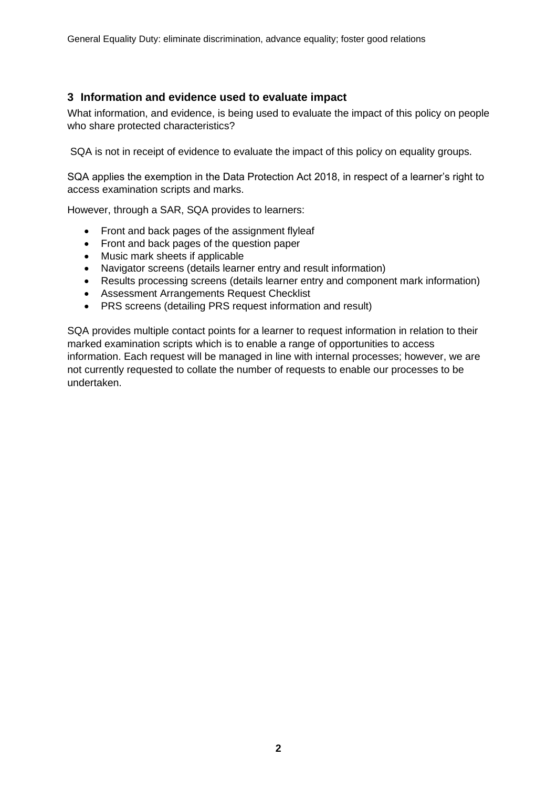#### **3 Information and evidence used to evaluate impact**

What information, and evidence, is being used to evaluate the impact of this policy on people who share protected characteristics?

SQA is not in receipt of evidence to evaluate the impact of this policy on equality groups.

SQA applies the exemption in the Data Protection Act 2018, in respect of a learner's right to access examination scripts and marks.

However, through a SAR, SQA provides to learners:

- Front and back pages of the assignment flyleaf
- Front and back pages of the question paper
- Music mark sheets if applicable
- Navigator screens (details learner entry and result information)
- Results processing screens (details learner entry and component mark information)
- Assessment Arrangements Request Checklist
- PRS screens (detailing PRS request information and result)

SQA provides multiple contact points for a learner to request information in relation to their marked examination scripts which is to enable a range of opportunities to access information. Each request will be managed in line with internal processes; however, we are not currently requested to collate the number of requests to enable our processes to be undertaken.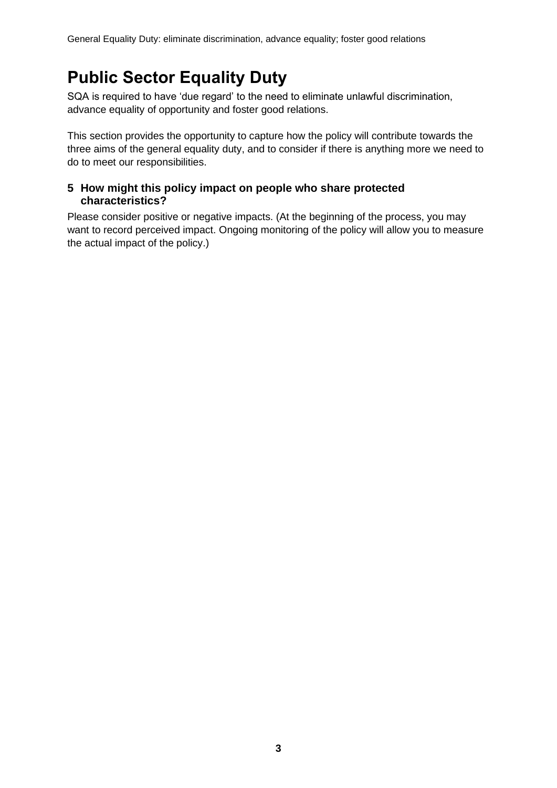## **Public Sector Equality Duty**

SQA is required to have 'due regard' to the need to eliminate unlawful discrimination, advance equality of opportunity and foster good relations.

This section provides the opportunity to capture how the policy will contribute towards the three aims of the general equality duty, and to consider if there is anything more we need to do to meet our responsibilities.

#### **5 How might this policy impact on people who share protected characteristics?**

Please consider positive or negative impacts. (At the beginning of the process, you may want to record perceived impact. Ongoing monitoring of the policy will allow you to measure the actual impact of the policy.)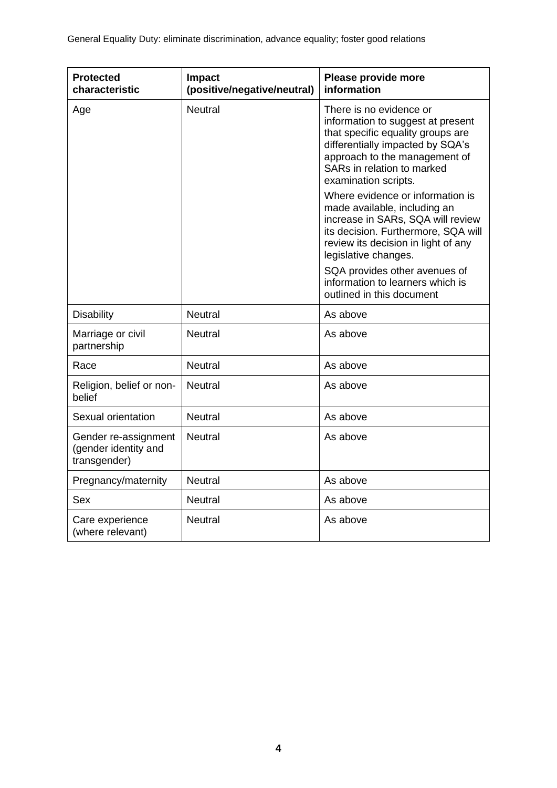| <b>Protected</b><br>characteristic                           | <b>Impact</b><br>(positive/negative/neutral) | Please provide more<br>information                                                                                                                                                                                           |  |
|--------------------------------------------------------------|----------------------------------------------|------------------------------------------------------------------------------------------------------------------------------------------------------------------------------------------------------------------------------|--|
| Age                                                          | <b>Neutral</b>                               | There is no evidence or<br>information to suggest at present<br>that specific equality groups are<br>differentially impacted by SQA's<br>approach to the management of<br>SARs in relation to marked<br>examination scripts. |  |
|                                                              |                                              | Where evidence or information is<br>made available, including an<br>increase in SARs, SQA will review<br>its decision. Furthermore, SQA will<br>review its decision in light of any<br>legislative changes.                  |  |
|                                                              |                                              | SQA provides other avenues of<br>information to learners which is<br>outlined in this document                                                                                                                               |  |
| <b>Disability</b>                                            | <b>Neutral</b>                               | As above                                                                                                                                                                                                                     |  |
| Marriage or civil<br>partnership                             | <b>Neutral</b>                               | As above                                                                                                                                                                                                                     |  |
| Race                                                         | <b>Neutral</b>                               | As above                                                                                                                                                                                                                     |  |
| Religion, belief or non-<br>belief                           | <b>Neutral</b>                               | As above                                                                                                                                                                                                                     |  |
| Sexual orientation                                           | <b>Neutral</b>                               | As above                                                                                                                                                                                                                     |  |
| Gender re-assignment<br>(gender identity and<br>transgender) | <b>Neutral</b>                               | As above                                                                                                                                                                                                                     |  |
| Pregnancy/maternity                                          | <b>Neutral</b>                               | As above                                                                                                                                                                                                                     |  |
| Sex                                                          | <b>Neutral</b>                               | As above                                                                                                                                                                                                                     |  |
| Care experience<br>(where relevant)                          | <b>Neutral</b>                               | As above                                                                                                                                                                                                                     |  |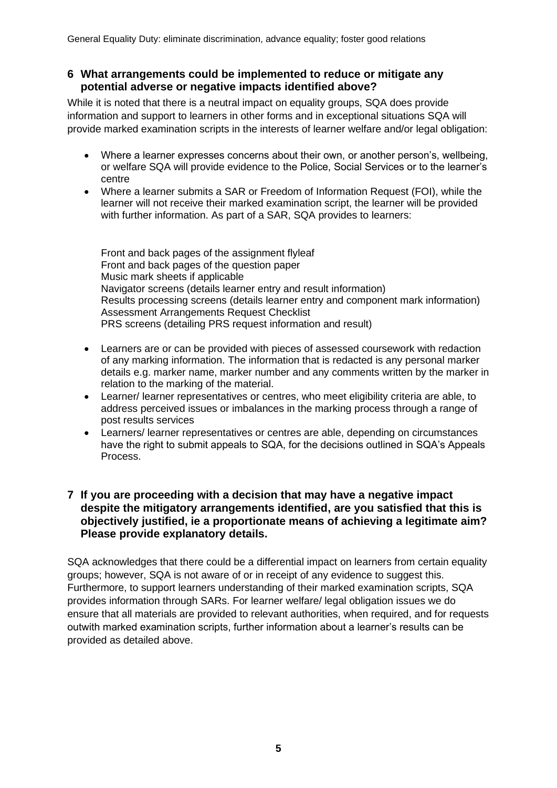#### **6 What arrangements could be implemented to reduce or mitigate any potential adverse or negative impacts identified above?**

While it is noted that there is a neutral impact on equality groups, SQA does provide information and support to learners in other forms and in exceptional situations SQA will provide marked examination scripts in the interests of learner welfare and/or legal obligation:

- Where a learner expresses concerns about their own, or another person's, wellbeing, or welfare SQA will provide evidence to the Police, Social Services or to the learner's centre
- Where a learner submits a SAR or Freedom of Information Request (FOI), while the learner will not receive their marked examination script, the learner will be provided with further information. As part of a SAR, SQA provides to learners:

Front and back pages of the assignment flyleaf Front and back pages of the question paper Music mark sheets if applicable Navigator screens (details learner entry and result information) Results processing screens (details learner entry and component mark information) Assessment Arrangements Request Checklist PRS screens (detailing PRS request information and result)

- Learners are or can be provided with pieces of assessed coursework with redaction of any marking information. The information that is redacted is any personal marker details e.g. marker name, marker number and any comments written by the marker in relation to the marking of the material.
- Learner/ learner representatives or centres, who meet eligibility criteria are able, to address perceived issues or imbalances in the marking process through a range of post results services
- Learners/ learner representatives or centres are able, depending on circumstances have the right to submit appeals to SQA, for the decisions outlined in SQA's Appeals Process.

#### **7 If you are proceeding with a decision that may have a negative impact despite the mitigatory arrangements identified, are you satisfied that this is objectively justified, ie a proportionate means of achieving a legitimate aim? Please provide explanatory details.**

SQA acknowledges that there could be a differential impact on learners from certain equality groups; however, SQA is not aware of or in receipt of any evidence to suggest this. Furthermore, to support learners understanding of their marked examination scripts, SQA provides information through SARs. For learner welfare/ legal obligation issues we do ensure that all materials are provided to relevant authorities, when required, and for requests outwith marked examination scripts, further information about a learner's results can be provided as detailed above.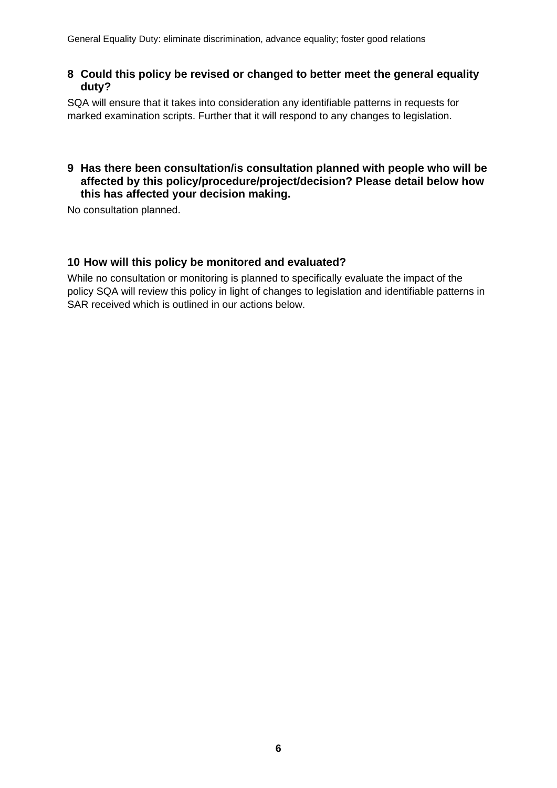#### **8 Could this policy be revised or changed to better meet the general equality duty?**

SQA will ensure that it takes into consideration any identifiable patterns in requests for marked examination scripts. Further that it will respond to any changes to legislation.

#### **9 Has there been consultation/is consultation planned with people who will be affected by this policy/procedure/project/decision? Please detail below how this has affected your decision making.**

No consultation planned.

#### **10 How will this policy be monitored and evaluated?**

While no consultation or monitoring is planned to specifically evaluate the impact of the policy SQA will review this policy in light of changes to legislation and identifiable patterns in SAR received which is outlined in our actions below.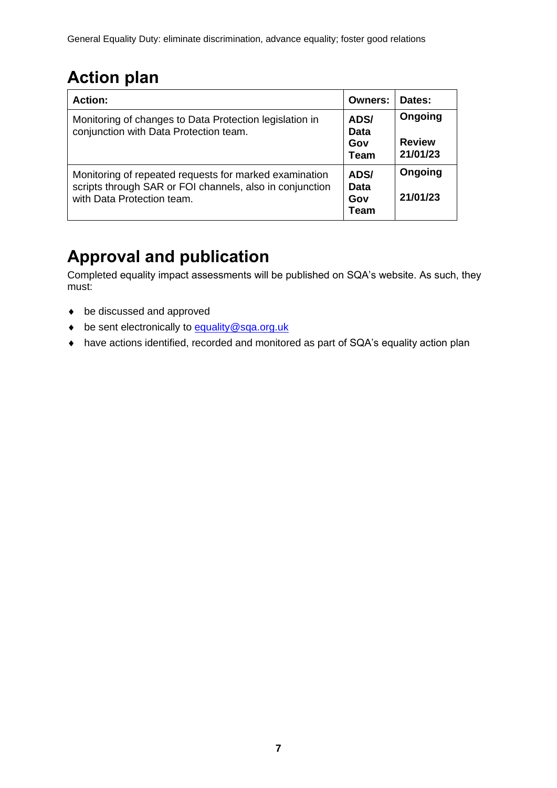# **Action plan**

| <b>Action:</b>                                                                                                                                   | Owners:                     | Dates:                               |
|--------------------------------------------------------------------------------------------------------------------------------------------------|-----------------------------|--------------------------------------|
| Monitoring of changes to Data Protection legislation in<br>conjunction with Data Protection team.                                                | ADS/<br>Data<br>Gov<br>Team | Ongoing<br><b>Review</b><br>21/01/23 |
| Monitoring of repeated requests for marked examination<br>scripts through SAR or FOI channels, also in conjunction<br>with Data Protection team. | ADS/<br>Data<br>Gov<br>Team | Ongoing<br>21/01/23                  |

# **Approval and publication**

Completed equality impact assessments will be published on SQA's website. As such, they must:

- be discussed and approved
- be sent electronically to [equality@sqa.org.uk](mailto:equality@sqa.org.uk)
- have actions identified, recorded and monitored as part of SQA's equality action plan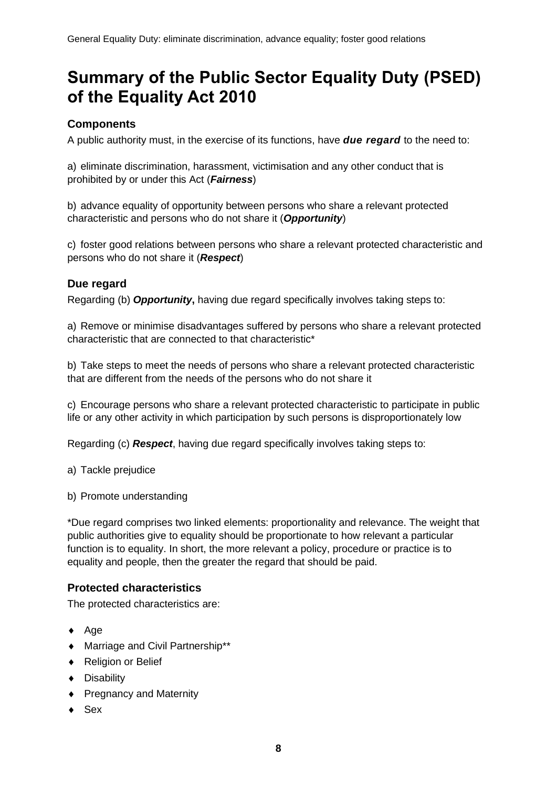## **Summary of the Public Sector Equality Duty (PSED) of the Equality Act 2010**

#### **Components**

A public authority must, in the exercise of its functions, have *due regard* to the need to:

a) eliminate discrimination, harassment, victimisation and any other conduct that is prohibited by or under this Act (*Fairness*)

b) advance equality of opportunity between persons who share a relevant protected characteristic and persons who do not share it (*Opportunity*)

c) foster good relations between persons who share a relevant protected characteristic and persons who do not share it (*Respect*)

#### **Due regard**

Regarding (b) *Opportunity***,** having due regard specifically involves taking steps to:

a) Remove or minimise disadvantages suffered by persons who share a relevant protected characteristic that are connected to that characteristic\*

b) Take steps to meet the needs of persons who share a relevant protected characteristic that are different from the needs of the persons who do not share it

c) Encourage persons who share a relevant protected characteristic to participate in public life or any other activity in which participation by such persons is disproportionately low

Regarding (c) *Respect*, having due regard specifically involves taking steps to:

a) Tackle prejudice

b) Promote understanding

\*Due regard comprises two linked elements: proportionality and relevance. The weight that public authorities give to equality should be proportionate to how relevant a particular function is to equality. In short, the more relevant a policy, procedure or practice is to equality and people, then the greater the regard that should be paid.

#### **Protected characteristics**

The protected characteristics are:

- $\leftrightarrow$  Age
- Marriage and Civil Partnership\*\*
- ◆ Religion or Belief
- ◆ Disability
- ◆ Pregnancy and Maternity
- $\bullet$  Sex